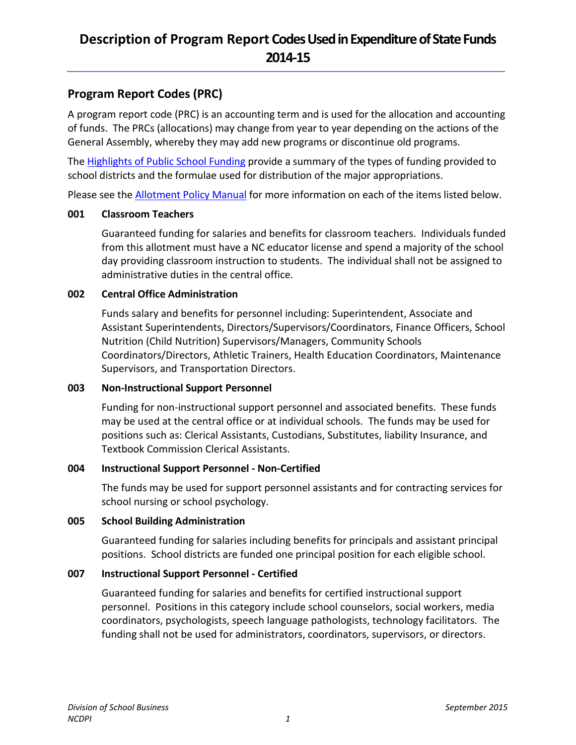## **Program Report Codes (PRC)**

A program report code (PRC) is an accounting term and is used for the allocation and accounting of funds. The PRCs (allocations) may change from year to year depending on the actions of the General Assembly, whereby they may add new programs or discontinue old programs.

Th[e Highlights of Public School Funding](http://www.ncpublicschools.org/docs/fbs/resources/data/highlights/2015highlights.pdf) provide a summary of the types of funding provided to school districts and the formulae used for distribution of the major appropriations.

Please see the **Allotment Policy Manual** for more information on each of the items listed below.

### **001 Classroom Teachers**

Guaranteed funding for salaries and benefits for classroom teachers. Individuals funded from this allotment must have a NC educator license and spend a majority of the school day providing classroom instruction to students. The individual shall not be assigned to administrative duties in the central office.

### **002 Central Office Administration**

Funds salary and benefits for personnel including: Superintendent, Associate and Assistant Superintendents, Directors/Supervisors/Coordinators, Finance Officers, School Nutrition (Child Nutrition) Supervisors/Managers, Community Schools Coordinators/Directors, Athletic Trainers, Health Education Coordinators, Maintenance Supervisors, and Transportation Directors.

## **003 Non-Instructional Support Personnel**

Funding for non-instructional support personnel and associated benefits. These funds may be used at the central office or at individual schools. The funds may be used for positions such as: Clerical Assistants, Custodians, Substitutes, liability Insurance, and Textbook Commission Clerical Assistants.

## **004 Instructional Support Personnel - Non-Certified**

The funds may be used for support personnel assistants and for contracting services for school nursing or school psychology.

#### **005 School Building Administration**

Guaranteed funding for salaries including benefits for principals and assistant principal positions. School districts are funded one principal position for each eligible school.

## **007 Instructional Support Personnel - Certified**

Guaranteed funding for salaries and benefits for certified instructional support personnel. Positions in this category include school counselors, social workers, media coordinators, psychologists, speech language pathologists, technology facilitators. The funding shall not be used for administrators, coordinators, supervisors, or directors.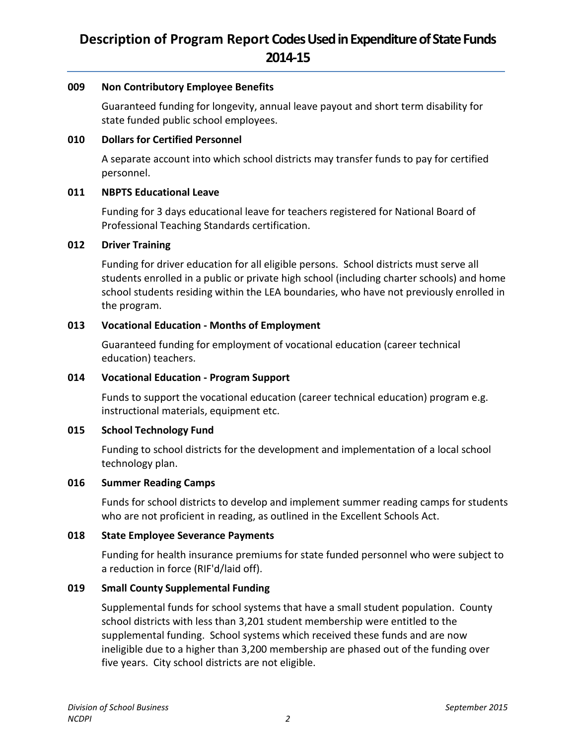#### **009 Non Contributory Employee Benefits**

Guaranteed funding for longevity, annual leave payout and short term disability for state funded public school employees.

### **010 Dollars for Certified Personnel**

A separate account into which school districts may transfer funds to pay for certified personnel.

### **011 NBPTS Educational Leave**

Funding for 3 days educational leave for teachers registered for National Board of Professional Teaching Standards certification.

### **012 Driver Training**

Funding for driver education for all eligible persons. School districts must serve all students enrolled in a public or private high school (including charter schools) and home school students residing within the LEA boundaries, who have not previously enrolled in the program.

## **013 Vocational Education - Months of Employment**

Guaranteed funding for employment of vocational education (career technical education) teachers.

### **014 Vocational Education - Program Support**

Funds to support the vocational education (career technical education) program e.g. instructional materials, equipment etc.

## **015 School Technology Fund**

Funding to school districts for the development and implementation of a local school technology plan.

#### **016 Summer Reading Camps**

Funds for school districts to develop and implement summer reading camps for students who are not proficient in reading, as outlined in the Excellent Schools Act.

## **018 State Employee Severance Payments**

Funding for health insurance premiums for state funded personnel who were subject to a reduction in force (RIF'd/laid off).

## **019 Small County Supplemental Funding**

Supplemental funds for school systems that have a small student population. County school districts with less than 3,201 student membership were entitled to the supplemental funding. School systems which received these funds and are now ineligible due to a higher than 3,200 membership are phased out of the funding over five years. City school districts are not eligible.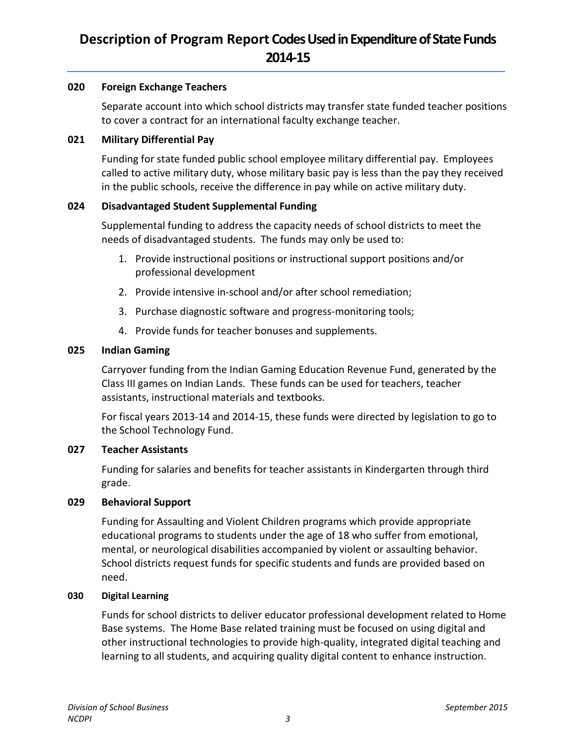### **020 Foreign Exchange Teachers**

Separate account into which school districts may transfer state funded teacher positions to cover a contract for an international faculty exchange teacher.

### **021 Military Differential Pay**

Funding for state funded public school employee military differential pay. Employees called to active military duty, whose military basic pay is less than the pay they received in the public schools, receive the difference in pay while on active military duty.

### **024 Disadvantaged Student Supplemental Funding**

Supplemental funding to address the capacity needs of school districts to meet the needs of disadvantaged students. The funds may only be used to:

- 1. Provide instructional positions or instructional support positions and/or professional development
- 2. Provide intensive in-school and/or after school remediation;
- 3. Purchase diagnostic software and progress-monitoring tools;
- 4. Provide funds for teacher bonuses and supplements.

### **025 Indian Gaming**

Carryover funding from the Indian Gaming Education Revenue Fund, generated by the Class III games on Indian Lands. These funds can be used for teachers, teacher assistants, instructional materials and textbooks.

For fiscal years 2013-14 and 2014-15, these funds were directed by legislation to go to the School Technology Fund.

## **027 Teacher Assistants**

Funding for salaries and benefits for teacher assistants in Kindergarten through third grade.

## **029 Behavioral Support**

Funding for Assaulting and Violent Children programs which provide appropriate educational programs to students under the age of 18 who suffer from emotional, mental, or neurological disabilities accompanied by violent or assaulting behavior. School districts request funds for specific students and funds are provided based on need.

#### **030 Digital Learning**

Funds for school districts to deliver educator professional development related to Home Base systems. The Home Base related training must be focused on using digital and other instructional technologies to provide high-quality, integrated digital teaching and learning to all students, and acquiring quality digital content to enhance instruction.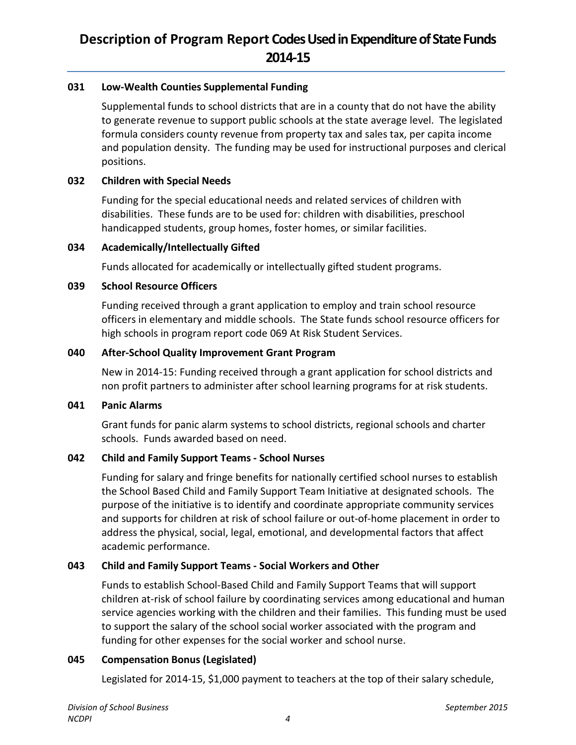## **031 Low-Wealth Counties Supplemental Funding**

Supplemental funds to school districts that are in a county that do not have the ability to generate revenue to support public schools at the state average level. The legislated formula considers county revenue from property tax and sales tax, per capita income and population density. The funding may be used for instructional purposes and clerical positions.

## **032 Children with Special Needs**

Funding for the special educational needs and related services of children with disabilities. These funds are to be used for: children with disabilities, preschool handicapped students, group homes, foster homes, or similar facilities.

### **034 Academically/Intellectually Gifted**

Funds allocated for academically or intellectually gifted student programs.

### **039 School Resource Officers**

Funding received through a grant application to employ and train school resource officers in elementary and middle schools. The State funds school resource officers for high schools in program report code 069 At Risk Student Services.

### **040 After-School Quality Improvement Grant Program**

New in 2014-15: Funding received through a grant application for school districts and non profit partners to administer after school learning programs for at risk students.

#### **041 Panic Alarms**

Grant funds for panic alarm systems to school districts, regional schools and charter schools. Funds awarded based on need.

## **042 Child and Family Support Teams - School Nurses**

Funding for salary and fringe benefits for nationally certified school nurses to establish the School Based Child and Family Support Team Initiative at designated schools. The purpose of the initiative is to identify and coordinate appropriate community services and supports for children at risk of school failure or out-of-home placement in order to address the physical, social, legal, emotional, and developmental factors that affect academic performance.

## **043 Child and Family Support Teams - Social Workers and Other**

Funds to establish School-Based Child and Family Support Teams that will support children at-risk of school failure by coordinating services among educational and human service agencies working with the children and their families. This funding must be used to support the salary of the school social worker associated with the program and funding for other expenses for the social worker and school nurse.

## **045 Compensation Bonus (Legislated)**

Legislated for 2014-15, \$1,000 payment to teachers at the top of their salary schedule,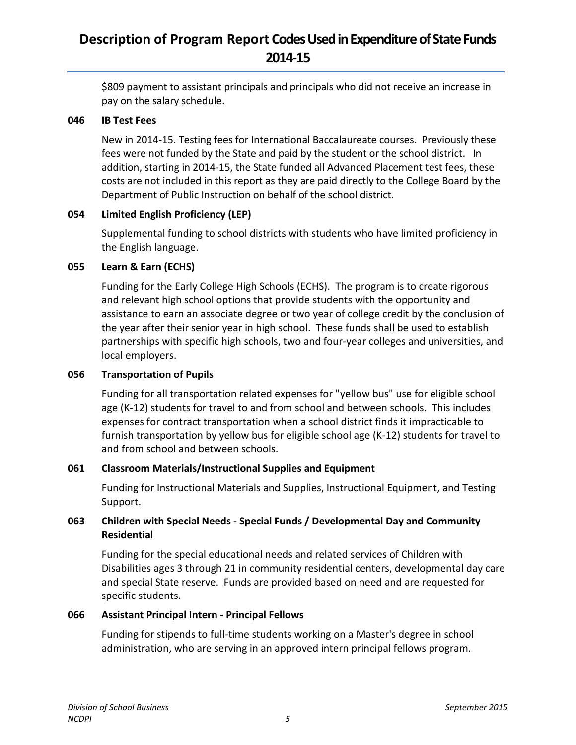\$809 payment to assistant principals and principals who did not receive an increase in pay on the salary schedule.

#### **046 IB Test Fees**

New in 2014-15. Testing fees for International Baccalaureate courses. Previously these fees were not funded by the State and paid by the student or the school district. In addition, starting in 2014-15, the State funded all Advanced Placement test fees, these costs are not included in this report as they are paid directly to the College Board by the Department of Public Instruction on behalf of the school district.

## **054 Limited English Proficiency (LEP)**

Supplemental funding to school districts with students who have limited proficiency in the English language.

## **055 Learn & Earn (ECHS)**

Funding for the Early College High Schools (ECHS). The program is to create rigorous and relevant high school options that provide students with the opportunity and assistance to earn an associate degree or two year of college credit by the conclusion of the year after their senior year in high school. These funds shall be used to establish partnerships with specific high schools, two and four-year colleges and universities, and local employers.

## **056 Transportation of Pupils**

Funding for all transportation related expenses for "yellow bus" use for eligible school age (K-12) students for travel to and from school and between schools. This includes expenses for contract transportation when a school district finds it impracticable to furnish transportation by yellow bus for eligible school age (K-12) students for travel to and from school and between schools.

## **061 Classroom Materials/Instructional Supplies and Equipment**

Funding for Instructional Materials and Supplies, Instructional Equipment, and Testing Support.

## **063 Children with Special Needs - Special Funds / Developmental Day and Community Residential**

Funding for the special educational needs and related services of Children with Disabilities ages 3 through 21 in community residential centers, developmental day care and special State reserve. Funds are provided based on need and are requested for specific students.

## **066 Assistant Principal Intern - Principal Fellows**

Funding for stipends to full-time students working on a Master's degree in school administration, who are serving in an approved intern principal fellows program.